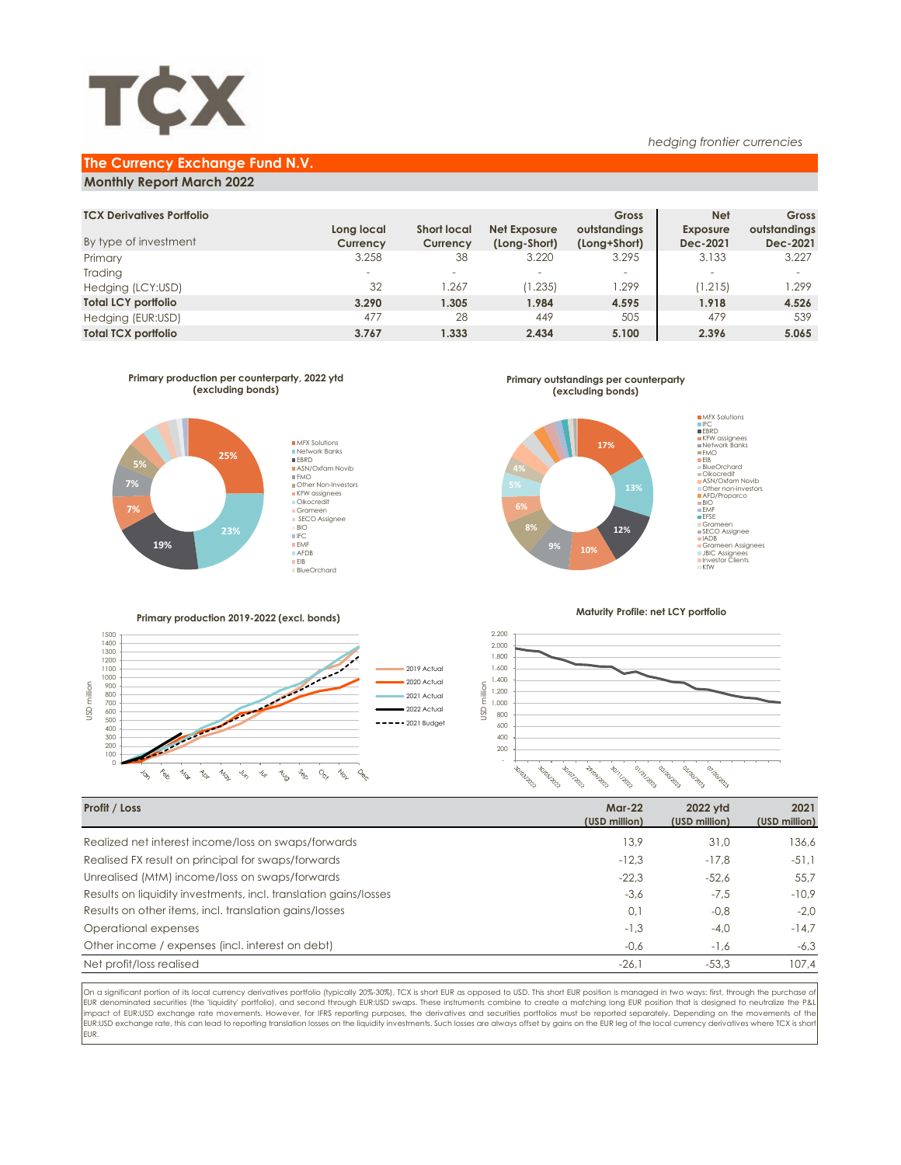

### **The Currency Exchange Fund N.V.**

#### **Monthly Report March 2022**

| <b>TCX Derivatives Portfolio</b> |                          |                    |                          | Gross                    | <b>Net</b>               | Gross        |
|----------------------------------|--------------------------|--------------------|--------------------------|--------------------------|--------------------------|--------------|
|                                  | Long local               | <b>Short local</b> | Net Exposure             | outstandings             | <b>Exposure</b>          | outstandings |
| By type of investment            | Currency                 | Currency           | (Long-Short)             | (Long+Short)             | Dec-2021                 | Dec-2021     |
| Primary                          | 3.258                    | 38                 | 3.220                    | 3.295                    | 3.133                    | 3.227        |
| Trading                          | $\overline{\phantom{a}}$ | -                  | $\overline{\phantom{a}}$ | $\overline{\phantom{a}}$ | $\overline{\phantom{a}}$ |              |
| Hedging (LCY:USD)                | 32                       | .267               | (1.235)                  | .299                     | (1.215)                  | 1.299        |
| <b>Total LCY portfolio</b>       | 3.290                    | 1.305              | 1.984                    | 4.595                    | 1.918                    | 4.526        |
| Hedging (EUR:USD)                | 477                      | 28                 | 449                      | 505                      | 479                      | 539          |
| <b>Total TCX portfolio</b>       | 3.767                    | 1.333              | 2.434                    | 5.100                    | 2.396                    | 5.065        |
|                                  |                          |                    |                          |                          |                          |              |



#### **Primary production 2019-2022 (excl. bonds)**



# Grameen Assignees JBIC Assignees Investor Clients KfW

**MFX Solutions** IFC EBRD KFW assignees Network Banks FMO EIB

*hedging frontier currencies*

BlueOrchard<br>Oikocredit<br>ASN/Oxfam Novib<br>Other non-investors<br>AFD/Proparco<br>BIO<br>EFSE<br>SFCO Assignee<br>SECO Assignee<br>IADB

#### **Maturity Profile: net LCY portfolio**



| Profit / Loss                                                    | $Mar-22$<br>(USD million) | 2022 ytd<br>(USD million) | 2021<br>(USD million) |
|------------------------------------------------------------------|---------------------------|---------------------------|-----------------------|
| Realized net interest income/loss on swaps/forwards              | 13.9                      | 31.0                      | 136.6                 |
| Realised FX result on principal for swaps/forwards               | $-12.3$                   | $-17.8$                   | $-51.1$               |
| Unrealised (MtM) income/loss on swaps/forwards                   | $-22.3$                   | $-52.6$                   | 55.7                  |
| Results on liquidity investments, incl. translation gains/losses | $-3,6$                    | $-7.5$                    | $-10.9$               |
| Results on other items, incl. translation gains/losses           | 0,1                       | $-0.8$                    | $-2.0$                |
| Operational expenses                                             | $-1,3$                    | $-4.0$                    | $-14.7$               |
| Other income / expenses (incl. interest on debt)                 | $-0,6$                    | $-1.6$                    | $-6.3$                |
| Net profit/loss realised                                         | $-26,1$                   | $-53.3$                   | 107,4                 |

On a significant portion of its local currency derivatives portfolio (typically 20%-30%), TCX is short EUR as opposed to USD. This short EUR position is managed in two ways: first, through the purchase of EUR denominated securities (the 'liquidity' portfolio), and second through EUR:USD swaps. These instruments combine to create a matching long EUR position that is designed to neutralize the P&L impact of EUR:USD exchange rate movements. However, for IFRS reporting purposes, the derivatives and securities portfolios must be reported separately. Depending on the movements of the EUR:USD exchange rate, this can lead to reporting translation losses on the liquidity investments. Such losses are always offset by gains on the EUR leg of the local currency derivatives where TCX is short EUR.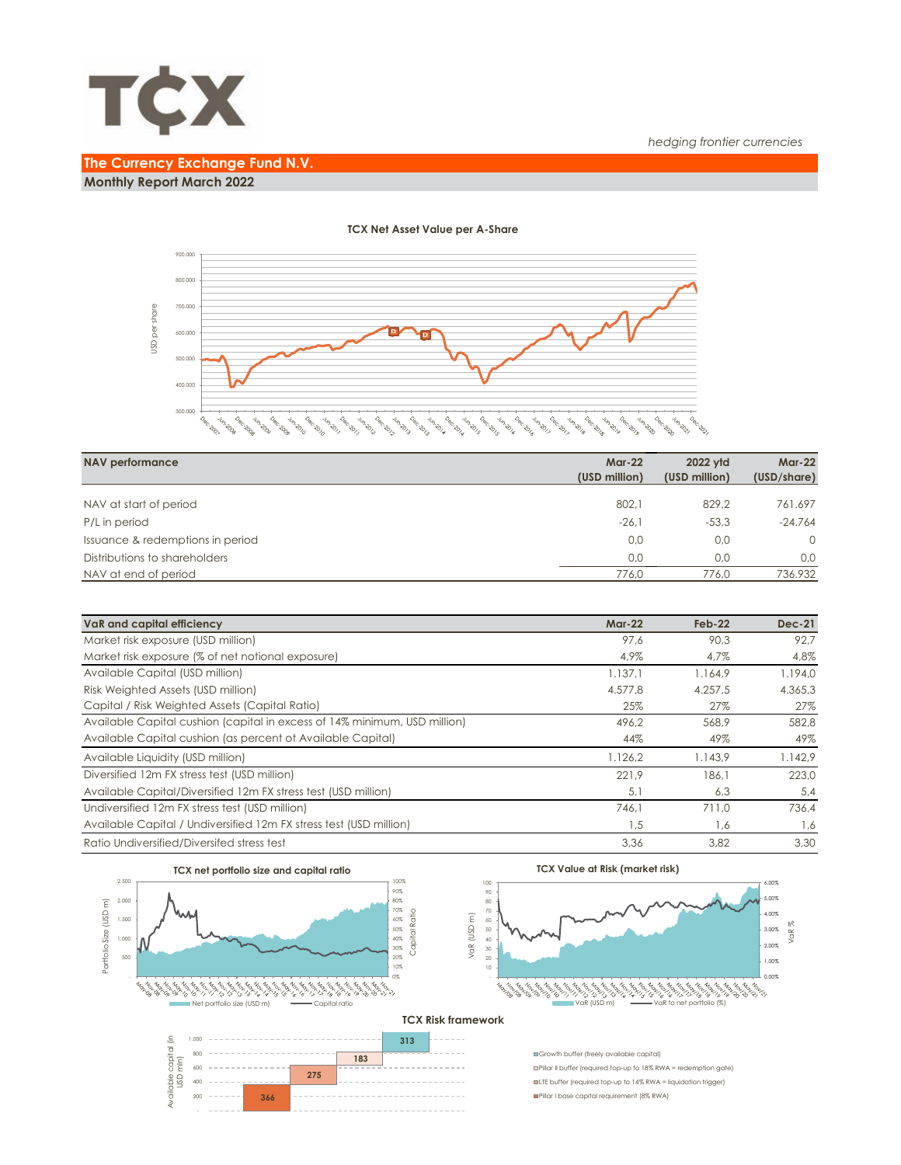

## **The Currency Exchange Fund N.V. Monthly Report March 2022**



| <b>NAV performance</b>           | <b>Mar-22</b><br>(USD million) | 2022 vtd<br>(USD million) | <b>Mar-22</b><br>(USD/share) |
|----------------------------------|--------------------------------|---------------------------|------------------------------|
| NAV at start of period           | 802.1                          | 829.2                     | 761.697                      |
| P/L in period                    | $-26.1$                        | $-53.3$                   | $-24.764$                    |
| Issuance & redemptions in period | 0.0                            | 0.0                       | $\Omega$                     |
| Distributions to shareholders    | 0.0                            | 0.0                       | 0.0                          |
| NAV at end of period             | 776.0                          | 776.0                     | 736.932                      |

| VaR and capital efficiency                                                | $Mar-22$ | $Feb-22$ | <b>Dec-21</b> |
|---------------------------------------------------------------------------|----------|----------|---------------|
| Market risk exposure (USD million)                                        | 97.6     | 90.3     | 92.7          |
| Market risk exposure (% of net notional exposure)                         | 4,9%     | 4,7%     | 4,8%          |
| Available Capital (USD million)                                           | 1.137.1  | 1.164.9  | 1.194,0       |
| Risk Weighted Assets (USD million)                                        | 4.577.8  | 4.257.5  | 4.365.3       |
| Capital / Risk Weighted Assets (Capital Ratio)                            | 25%      | 27%      | 27%           |
| Available Capital cushion (capital in excess of 14% minimum, USD million) | 496,2    | 568,9    | 582,8         |
| Available Capital cushion (as percent of Available Capital)               | 44%      | 49%      | 49%           |
| Available Liquidity (USD million)                                         | 1.126,2  | 1.143.9  | 1.142.9       |
| Diversified 12m FX stress test (USD million)                              | 221.9    | 186.1    | 223.0         |
| Available Capital/Diversified 12m FX stress test (USD million)            | 5,1      | 6,3      | 5,4           |
| Undiversified 12m FX stress test (USD million)                            | 746.1    | 711.0    | 736.4         |
| Available Capital / Undiversified 12m FX stress test (USD million)        | 1,5      | 1,6      | 1,6           |
| Ratio Undiversified/Diversifed stress test                                | 3,36     | 3,82     | 3.30          |



#### **TCX Net Asset Value per A-Share**